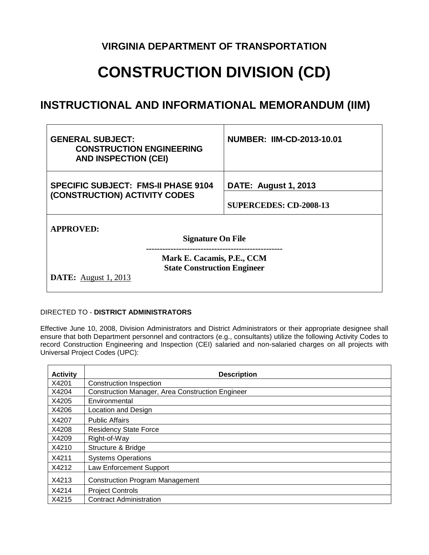## **VIRGINIA DEPARTMENT OF TRANSPORTATION**

## **CONSTRUCTION DIVISION (CD)**

## **INSTRUCTIONAL AND INFORMATIONAL MEMORANDUM (IIM)**

| <b>GENERAL SUBJECT:</b><br><b>CONSTRUCTION ENGINEERING</b><br><b>AND INSPECTION (CEI)</b>                        |  | <b>NUMBER: IIM-CD-2013-10.01</b>                             |
|------------------------------------------------------------------------------------------------------------------|--|--------------------------------------------------------------|
| <b>SPECIFIC SUBJECT: FMS-II PHASE 9104</b><br>(CONSTRUCTION) ACTIVITY CODES                                      |  | <b>DATE: August 1, 2013</b><br><b>SUPERCEDES: CD-2008-13</b> |
| <b>APPROVED:</b><br><b>Signature On File</b><br>Mark E. Cacamis, P.E., CCM<br><b>State Construction Engineer</b> |  |                                                              |
| <b>DATE:</b> August 1, 2013                                                                                      |  |                                                              |

## DIRECTED TO - **DISTRICT ADMINISTRATORS**

Effective June 10, 2008, Division Administrators and District Administrators or their appropriate designee shall ensure that both Department personnel and contractors (e.g., consultants) utilize the following Activity Codes to record Construction Engineering and Inspection (CEI) salaried and non-salaried charges on all projects with Universal Project Codes (UPC):

| <b>Activity</b> | <b>Description</b>                               |
|-----------------|--------------------------------------------------|
| X4201           | <b>Construction Inspection</b>                   |
| X4204           | Construction Manager, Area Construction Engineer |
| X4205           | Environmental                                    |
| X4206           | Location and Design                              |
| X4207           | <b>Public Affairs</b>                            |
| X4208           | <b>Residency State Force</b>                     |
| X4209           | Right-of-Way                                     |
| X4210           | Structure & Bridge                               |
| X4211           | <b>Systems Operations</b>                        |
| X4212           | <b>Law Enforcement Support</b>                   |
| X4213           | <b>Construction Program Management</b>           |
| X4214           | <b>Project Controls</b>                          |
| X4215           | <b>Contract Administration</b>                   |